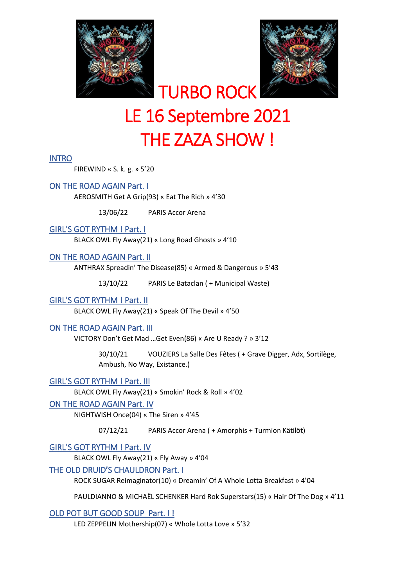



# TURBO ROCK LE 16 Septembre 2021 THE ZAZA SHOW !

## INTRO

FIREWIND « S. k. g. » 5'20

# ON THE ROAD AGAIN Part. I

AEROSMITH Get A Grip(93) « Eat The Rich » 4'30

13/06/22 PARIS Accor Arena

## GIRL'S GOT RYTHM ! Part. I

BLACK OWL Fly Away(21) « Long Road Ghosts » 4'10

## ON THE ROAD AGAIN Part. II

ANTHRAX Spreadin' The Disease(85) « Armed & Dangerous » 5'43

13/10/22 PARIS Le Bataclan ( + Municipal Waste)

#### GIRL'S GOT RYTHM ! Part. II

BLACK OWL Fly Away(21) « Speak Of The Devil » 4'50

#### ON THE ROAD AGAIN Part. III

VICTORY Don't Get Mad …Get Even(86) « Are U Ready ? » 3'12

30/10/21 VOUZIERS La Salle Des Fêtes ( + Grave Digger, Adx, Sortilège, Ambush, No Way, Existance.)

# GIRL'S GOT RYTHM ! Part. III

BLACK OWL Fly Away(21) « Smokin' Rock & Roll » 4'02

#### ON THE ROAD AGAIN Part. IV

NIGHTWISH Once(04) « The Siren » 4'45

07/12/21 PARIS Accor Arena ( + Amorphis + Turmion Kätilöt)

GIRL'S GOT RYTHM ! Part. IV

BLACK OWL Fly Away(21) « Fly Away » 4'04

#### THE OLD DRUID'S CHAULDRON Part. I

ROCK SUGAR Reimaginator(10) « Dreamin' Of A Whole Lotta Breakfast » 4'04

PAULDIANNO & MICHAËL SCHENKER Hard Rok Superstars(15) « Hair Of The Dog » 4'11

OLD POT BUT GOOD SOUP Part. I !

LED ZEPPELIN Mothership(07) « Whole Lotta Love » 5'32